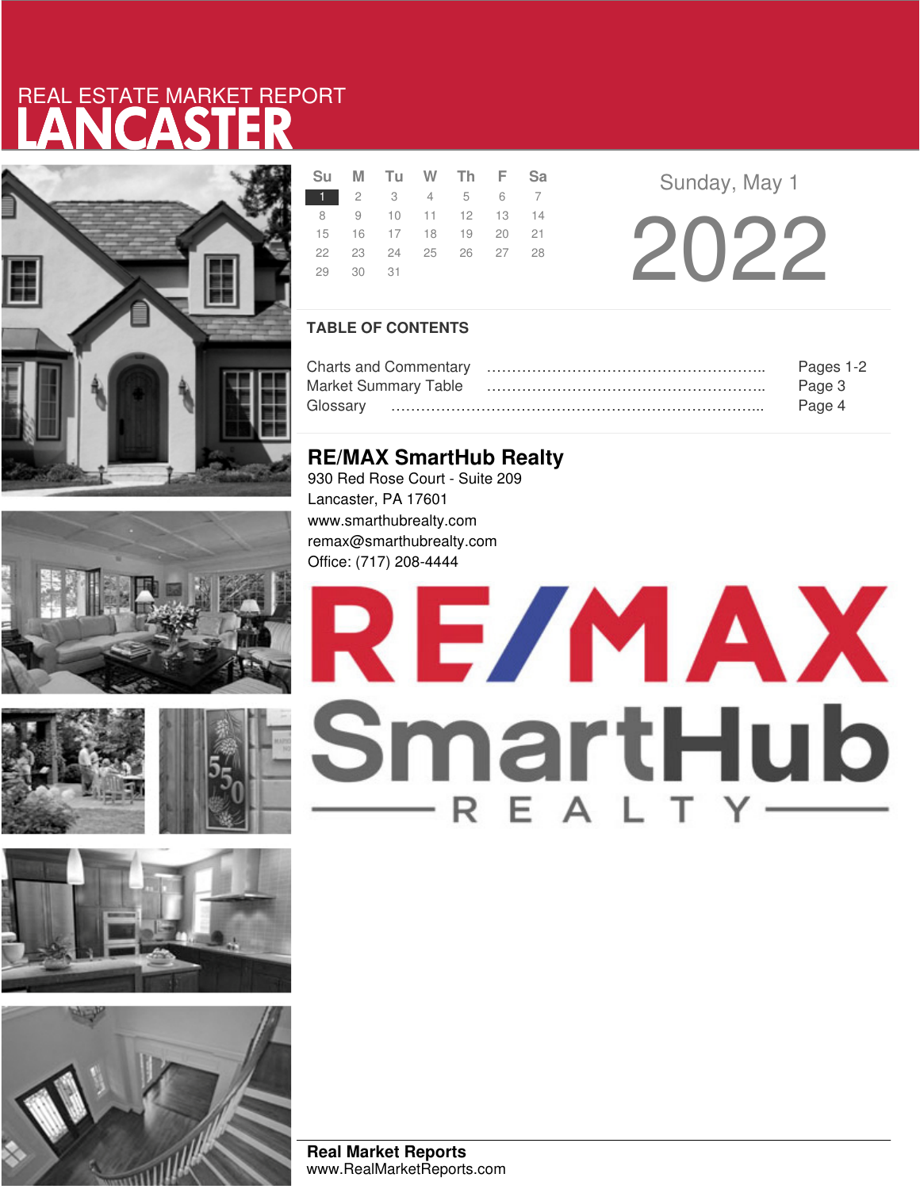# LANCASTER REAL ESTATE MARKET REPORT













|          | Su M Tu W Th F Sa    |  |  |
|----------|----------------------|--|--|
|          | 1 2 3 4 5 6 7        |  |  |
|          | 8 9 10 11 12 13 14   |  |  |
|          | 15 16 17 18 19 20 21 |  |  |
|          | 22 23 24 25 26 27 28 |  |  |
| 29 30 31 |                      |  |  |

**Sunday, May 1** 

2 0 2 2

## **TABLE OF CONTENTS**

|                             | Pages 1-2 |
|-----------------------------|-----------|
| <b>Market Summary Table</b> | Page 3    |
|                             | Page 4    |

## **RE/MAX SmartHub Realty**

930 Red Rose Court - Suite 209 Lancaster, PA 17601 www.smarthubrealty.com remax@smarthubrealty.com Office: (717) 208-4444

# RE/MAX SmartHub

**Real Market Reports** www.RealMarketReports.com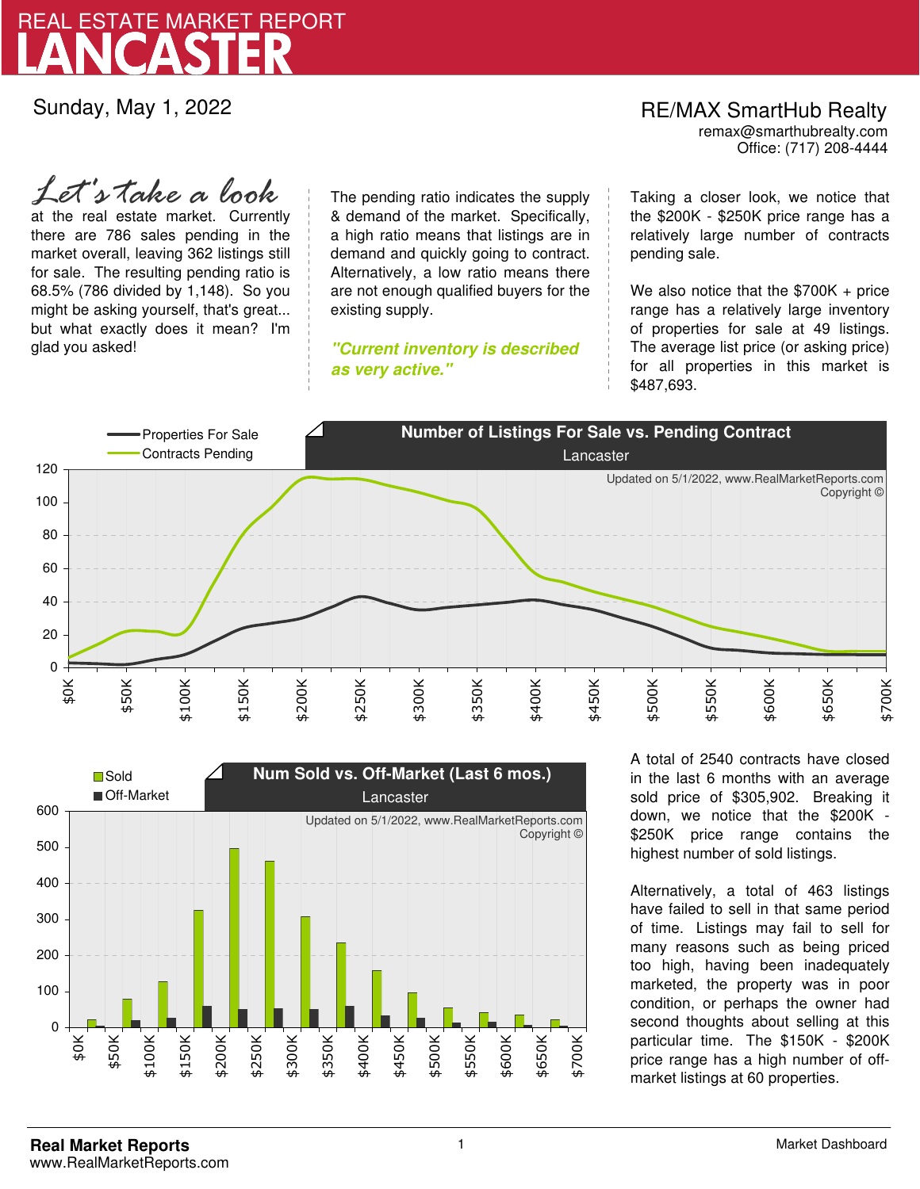

Sunday, May 1, 2022

## RE/MAX SmartHub Realty remax@smarthubrealty.com

Office: (717) 208-4444

at the real estate market. Currently there are 786 sales pending in the market overall, leaving 362 listings still for sale. The resulting pending ratio is 68.5% (786 divided by 1,148). So you might be asking yourself, that's great... but what exactly does it mean? I'm glad you asked! *Let's take a look*

The pending ratio indicates the supply & demand of the market. Specifically, a high ratio means that listings are in demand and quickly going to contract. Alternatively, a low ratio means there are not enough qualified buyers for the existing supply.

**"Current inventory is described as very active."**

Taking a closer look, we notice that the \$200K - \$250K price range has a relatively large number of contracts pending sale.

We also notice that the \$700K + price range has a relatively large inventory of properties for sale at 49 listings. The average list price (or asking price) for all properties in this market is \$487,693.





A total of 2540 contracts have closed in the last 6 months with an average sold price of \$305,902. Breaking it down, we notice that the \$200K - \$250K price range contains the highest number of sold listings.

Alternatively, a total of 463 listings have failed to sell in that same period of time. Listings may fail to sell for many reasons such as being priced too high, having been inadequately marketed, the property was in poor condition, or perhaps the owner had second thoughts about selling at this particular time. The \$150K - \$200K price range has a high number of offmarket listings at 60 properties.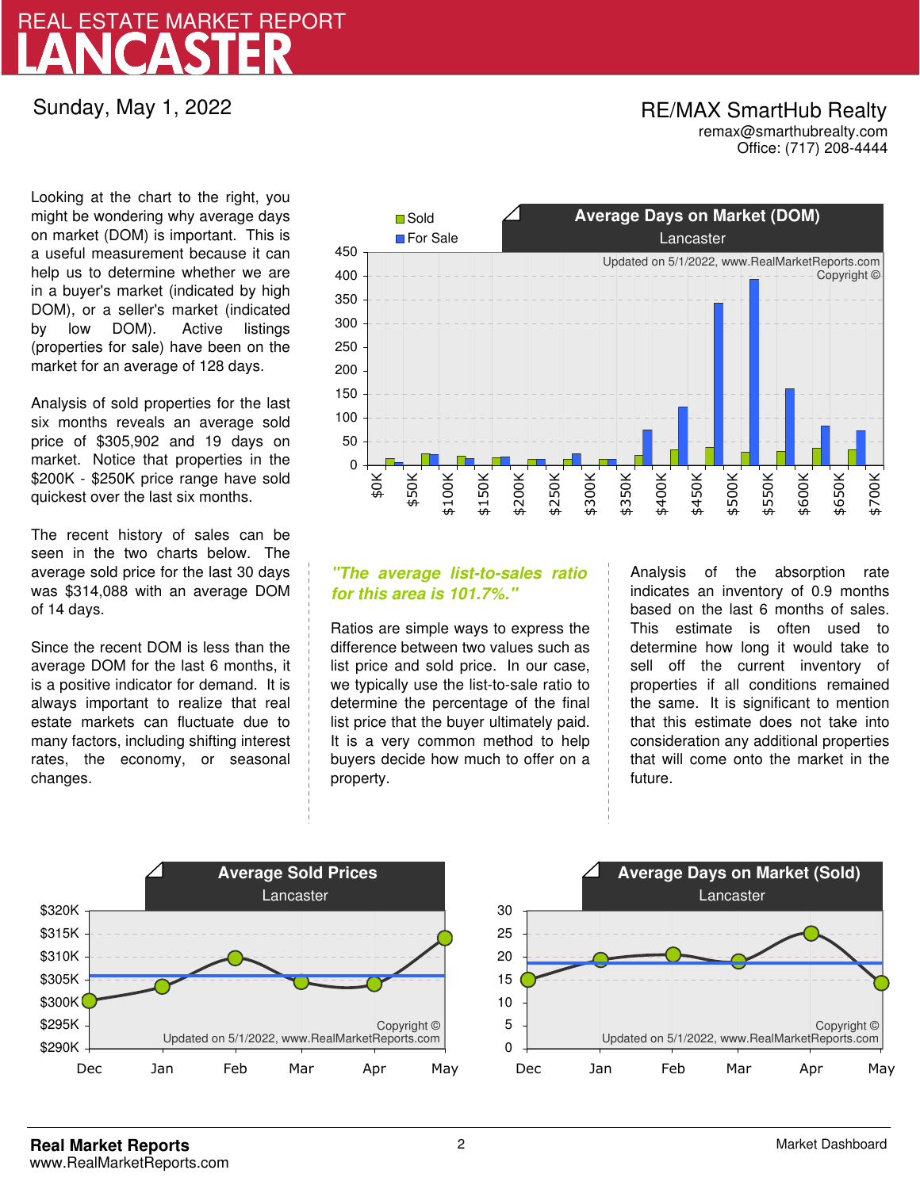# LANCASTER REAL ESTATE MARKET REPORT

## Sunday, May 1, 2022

## RE/MAX SmartHub Realty remax@smarthubrealty.com

Office: (717) 208-4444

Looking at the chart to the right, you might be wondering why average days on market (DOM) is important. This is a useful measurement because it can help us to determine whether we are in a buyer's market (indicated by high DOM), or a seller's market (indicated by low DOM). Active listings (properties for sale) have been on the market for an average of 128 days.

Analysis of sold properties for the last six months reveals an average sold price of \$305,902 and 19 days on market. Notice that properties in the \$200K - \$250K price range have sold quickest over the last six months.

The recent history of sales can be seen in the two charts below. The average sold price for the last 30 days was \$314,088 with an average DOM of 14 days.

Since the recent DOM is less than the average DOM for the last 6 months, it is a positive indicator for demand. It is always important to realize that real estate markets can fluctuate due to many factors, including shifting interest rates, the economy, or seasonal changes.



## **"The average list-to-sales ratio for this area is 101.7%."**

Ratios are simple ways to express the difference between two values such as list price and sold price. In our case, we typically use the list-to-sale ratio to determine the percentage of the final list price that the buyer ultimately paid. It is a very common method to help buyers decide how much to offer on a property.

Analysis of the absorption rate indicates an inventory of 0.9 months based on the last 6 months of sales. This estimate is often used to determine how long it would take to sell off the current inventory of properties if all conditions remained the same. It is significant to mention that this estimate does not take into consideration any additional properties that will come onto the market in the future.



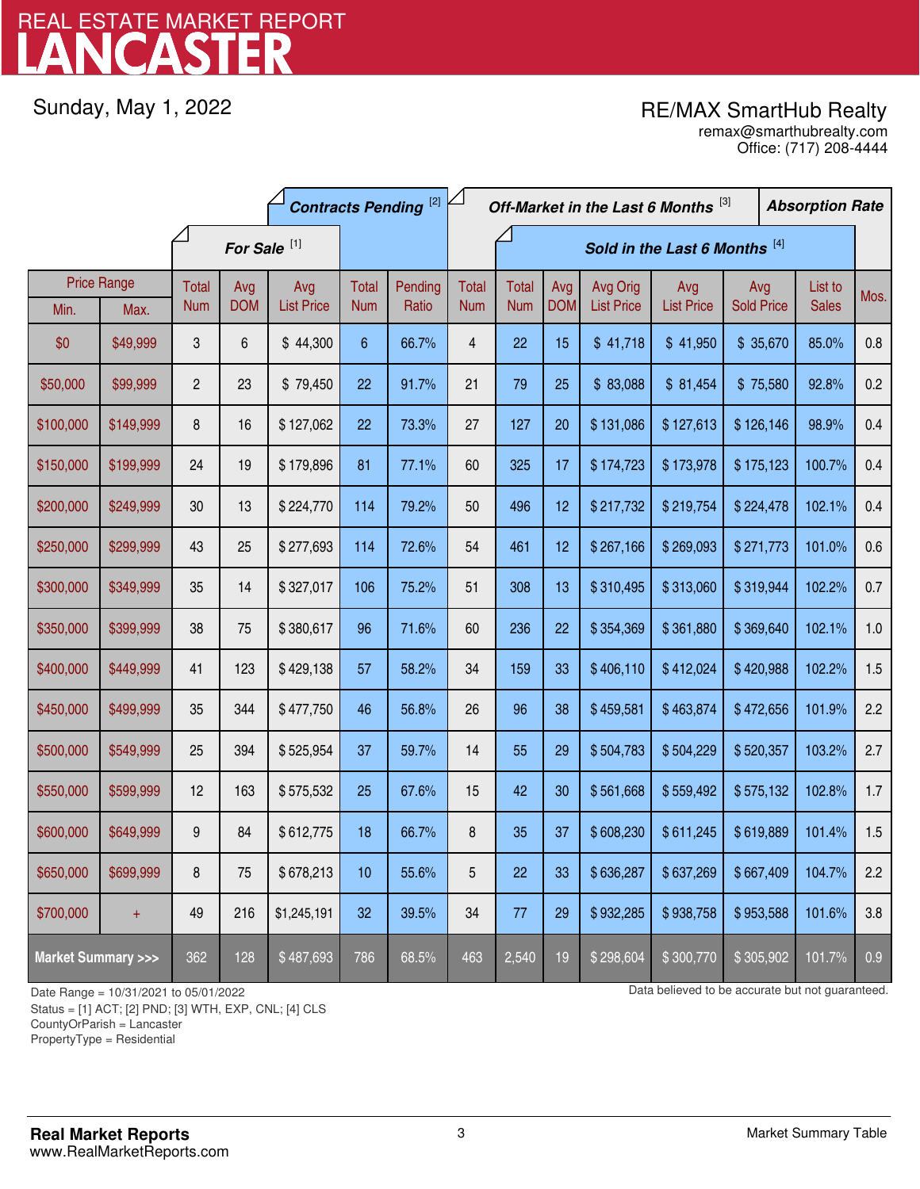# LANCASTER REAL ESTATE MARKET REPORT

Sunday, May 1, 2022

# RE/MAX SmartHub Realty

Office: (717) 208-4444 remax@smarthubrealty.com

|                                    |                    | <b>Contracts Pending [2]</b> |            |                   |                 |                               | Off-Market in the Last 6 Months [3] |              |            |                   |                   | <b>Absorption Rate</b> |  |              |      |
|------------------------------------|--------------------|------------------------------|------------|-------------------|-----------------|-------------------------------|-------------------------------------|--------------|------------|-------------------|-------------------|------------------------|--|--------------|------|
|                                    |                    | For Sale <sup>[1]</sup>      |            |                   |                 | Sold in the Last 6 Months [4] |                                     |              |            |                   |                   |                        |  |              |      |
|                                    | <b>Price Range</b> | Total                        | Avg        | Avg               | <b>Total</b>    | Pending                       | <b>Total</b>                        | <b>Total</b> | Avg        | Avg Orig          | Avg               | Avg                    |  | List to      | Mos. |
| Min.                               | Max.               | <b>Num</b>                   | <b>DOM</b> | <b>List Price</b> | <b>Num</b>      | Ratio                         | <b>Num</b>                          | <b>Num</b>   | <b>DOM</b> | <b>List Price</b> | <b>List Price</b> | <b>Sold Price</b>      |  | <b>Sales</b> |      |
| \$0                                | \$49,999           | 3                            | 6          | \$44,300          | $6\phantom{.}6$ | 66.7%                         | $\overline{4}$                      | 22           | 15         | \$41,718          | \$41,950          | \$35,670               |  | 85.0%        | 0.8  |
| \$50,000                           | \$99,999           | $\overline{c}$               | 23         | \$79,450          | 22              | 91.7%                         | 21                                  | 79           | 25         | \$83,088          | \$81,454          | \$75,580               |  | 92.8%        | 0.2  |
| \$100,000                          | \$149,999          | 8                            | 16         | \$127,062         | 22              | 73.3%                         | 27                                  | 127          | 20         | \$131,086         | \$127,613         | \$126,146              |  | 98.9%        | 0.4  |
| \$150,000                          | \$199,999          | 24                           | 19         | \$179,896         | 81              | 77.1%                         | 60                                  | 325          | 17         | \$174,723         | \$173,978         | \$175,123              |  | 100.7%       | 0.4  |
| \$200,000                          | \$249,999          | 30                           | 13         | \$224,770         | 114             | 79.2%                         | 50                                  | 496          | 12         | \$217,732         | \$219,754         | \$224,478              |  | 102.1%       | 0.4  |
| \$250,000                          | \$299,999          | 43                           | 25         | \$277,693         | 114             | 72.6%                         | 54                                  | 461          | 12         | \$267,166         | \$269,093         | \$271,773              |  | 101.0%       | 0.6  |
| \$300,000                          | \$349,999          | 35                           | 14         | \$327,017         | 106             | 75.2%                         | 51                                  | 308          | 13         | \$310,495         | \$313,060         | \$319,944              |  | 102.2%       | 0.7  |
| \$350,000                          | \$399,999          | 38                           | 75         | \$380,617         | 96              | 71.6%                         | 60                                  | 236          | 22         | \$354,369         | \$361,880         | \$369,640              |  | 102.1%       | 1.0  |
| \$400,000                          | \$449,999          | 41                           | 123        | \$429,138         | 57              | 58.2%                         | 34                                  | 159          | 33         | \$406,110         | \$412,024         | \$420,988              |  | 102.2%       | 1.5  |
| \$450,000                          | \$499,999          | 35                           | 344        | \$477,750         | 46              | 56.8%                         | 26                                  | 96           | 38         | \$459,581         | \$463,874         | \$472,656              |  | 101.9%       | 2.2  |
| \$500,000                          | \$549,999          | 25                           | 394        | \$525,954         | 37              | 59.7%                         | 14                                  | 55           | 29         | \$504,783         | \$504,229         | \$520,357              |  | 103.2%       | 2.7  |
| \$550,000                          | \$599,999          | 12                           | 163        | \$575,532         | 25              | 67.6%                         | 15                                  | 42           | 30         | \$561,668         | \$559,492         | \$575,132              |  | 102.8%       | 1.7  |
| \$600,000                          | \$649,999          | 9                            | 84         | \$612,775         | 18              | 66.7%                         | 8                                   | 35           | 37         | \$608,230         | \$611,245         | \$619,889              |  | 101.4%       | 1.5  |
| \$650,000                          | \$699,999          | 8                            | 75         | \$678,213         | 10              | 55.6%                         | 5                                   | 22           | 33         | \$636,287         | \$637,269         | \$667,409              |  | 104.7%       | 2.2  |
| \$700,000                          | $+$                | 49                           | 216        | \$1,245,191       | 32              | 39.5%                         | 34                                  | 77           | 29         | \$932,285         | \$938,758         | \$953,588              |  | 101.6%       | 3.8  |
| <b>Market Summary &gt;&gt;&gt;</b> |                    | 362                          | 128        | \$487,693         | 786             | 68.5%                         | 463                                 | 2,540        | 19         | \$298,604         | \$300,770         | \$305,902              |  | 101.7%       | 0.9  |

Status = [1] ACT; [2] PND; [3] WTH, EXP, CNL; [4] CLS

CountyOrParish = Lancaster

PropertyType = Residential

1

Date Range = 10/31/2021 to 05/01/2022 Data believed to be accurate but not guaranteed.